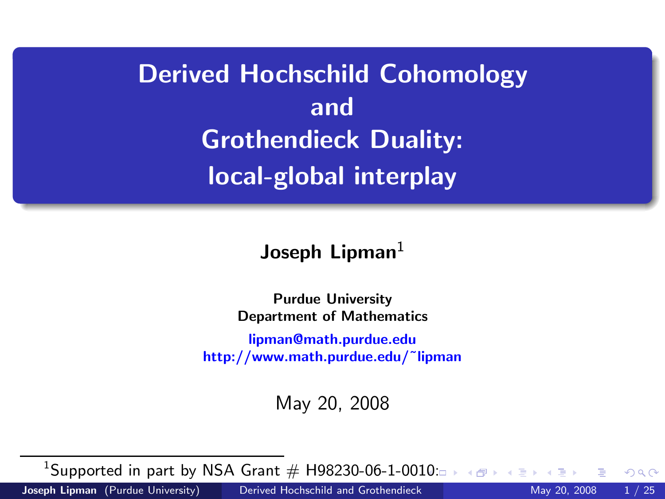# Derived Hochschild Cohomology and Grothendieck Duality: local-global interplay

Joseph Lipman $1$ 

Purdue University Department of Mathematics [lipman@math.purdue.edu](mailto:lipman@math.purdue.edu) http://www.math.purdue.edu/˜lipman

<span id="page-0-0"></span>May 20, 2008

 $^1$ Supported in part by NSA Grant  $\#$  H98230-06-1-00[10:](#page-0-0)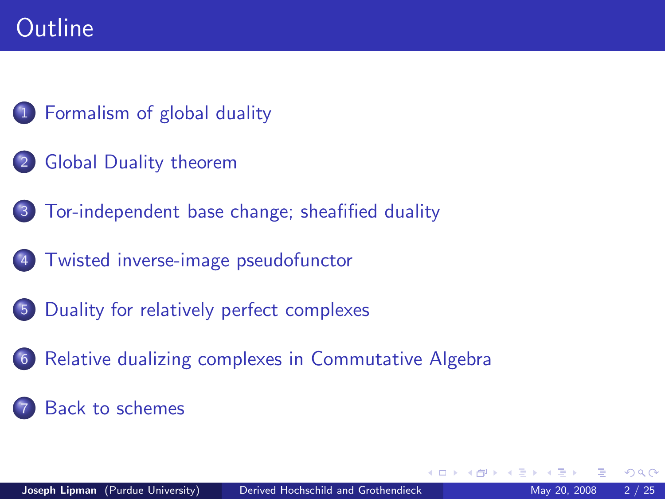# **Outline**



- [Global Duality theorem](#page-6-0)
- 3 [Tor-independent base change; sheafified duality](#page-7-0)
- 4 [Twisted inverse-image pseudofunctor](#page-9-0)
- 5 [Duality for relatively perfect complexes](#page-17-0)
- 6 [Relative dualizing complexes in Commutative Algebra](#page-19-0)

### <span id="page-1-0"></span>[Back to schemes](#page-23-0)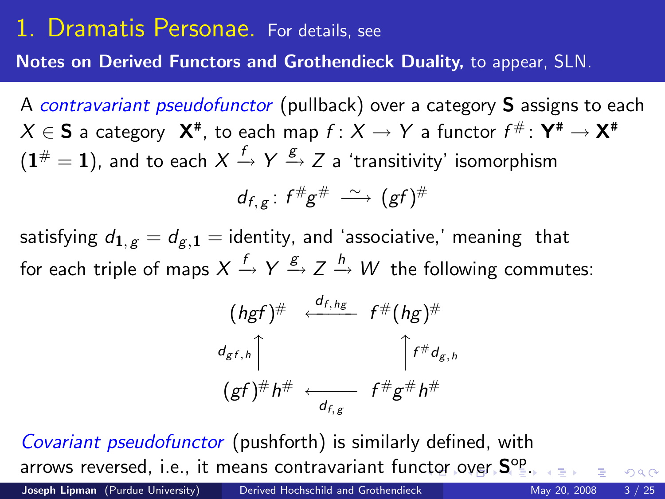# 1. Dramatis Personae. For details, see

Notes on Derived Functors and Grothendieck Duality, to appear, SLN.

A contravariant pseudofunctor (pullback) over a category S assigns to each  $X \in \mathsf{S}$  a category  $\mathsf{X}^{\#},$  to each map  $f \colon X \to Y$  a functor  $f^{\#} \colon \mathsf{Y}^{\#} \to \mathsf{X}^{\#}$  $(\mathbf{1}^{\#}=\mathbf{1}),$  and to each  $X\stackrel{f}{\rightarrow}Y\stackrel{g}{\rightarrow}Z$  a 'transitivity' isomorphism  $d_{f,g}$ : f<sup>#</sup>g<sup>#</sup>  $\stackrel{\sim}{\longrightarrow}$  (gf)<sup>#</sup>

satisfying  $d_{1,g} = d_{g,1}$  = identity, and 'associative,' meaning that for each triple of maps  $X\stackrel{f}{\to} Y \stackrel{g}{\to} Z\stackrel{h}{\to} W$  the following commutes:

$$
(hgf)^{\#} \xleftarrow{d_{f,hg}} f^{\#}(hg)^{\#}
$$
  
\n
$$
d_{gf,h} \uparrow \qquad \qquad \uparrow f^{\#}d_{g,h}
$$
  
\n
$$
(gf)^{\#}h^{\#} \xleftarrow{d_{f,g}} f^{\#}g^{\#}h^{\#}
$$

Covariant pseudofunctor (pushforth) is similarly defined, with arrows reversed, i.e., it means contravariant fun[cto](#page-1-0)[r o](#page-3-0)[v](#page-1-0)[er](#page-2-0) [S](#page-1-0)<sup>[op](#page-2-0)</sup>[.](#page-5-0)

Joseph Lipman (Purdue University) [Derived Hochschild and Grothendieck](#page-0-0) May 20, 2008 3 / 25

<span id="page-2-0"></span>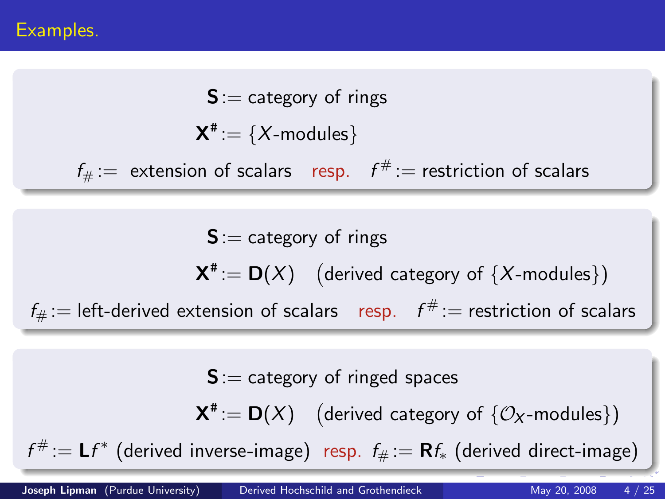$S :=$  category of rings

<span id="page-3-0"></span> $\mathsf{X}^{\texttt{\#}}\!:=\{X\text{-modules}\}$ 

 $f_\# :=\;$  extension of scalars  $\;$  resp.  $\;$   $f^\# :=\;$  restriction of scalars

 $S :=$  category of rings  $\mathbf{X}^* := \mathbf{D}(X)$  (derived category of  $\{X\text{-modules}\}$ )  $f_\# :=$  left-derived extension of scalars  $\;\;$  resp.  $\;\;f^\# :=$  restriction of scalars

 $S :=$  category of ringed spaces  $\mathbf{X}^* := \mathbf{D}(X)$  (derived category of  $\{\mathcal{O}_X\text{-modules}\}$ )  $f^{\#}:=\mathsf{L} f^*$  (derived inverse-image) resp.  $f_{\#}:=\mathsf{R} f_*$  (derived direct-image)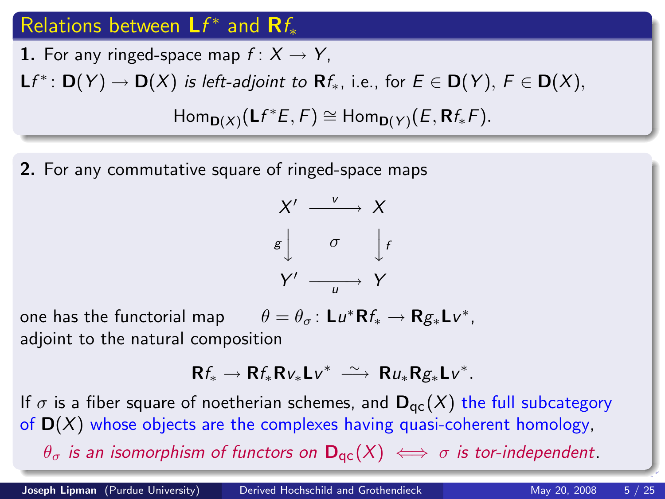# Relations between  $Lf^*$  and  $\mathbf{R}f_*$

1. For any ringed-space map  $f: X \rightarrow Y$ ,

 $\mathsf{L} f^* \colon \mathsf{D}(Y) \to \mathsf{D}(X)$  is left-adjoint to  $\mathsf{R} f_*,$  i.e., for  $E \in \mathsf{D}(Y),\, F \in \mathsf{D}(X),$ 

 $\mathsf{Hom}_{\mathsf{D}(X)}(\mathsf{L}f^*\mathsf{E},\mathsf{F})\cong \mathsf{Hom}_{\mathsf{D}(Y)}(\mathsf{E},\mathsf{R}f_*\mathsf{F}).$ 

2. For any commutative square of ringed-space maps



one has the functorial map  $\theta = \theta_{\sigma} : \mathsf{L}u^* \mathsf{R}f_* \to \mathsf{R}g_* \mathsf{L}v^*,$ adjoint to the natural composition

 $Rf_* \to Rf_*Rv_*Lv^* \stackrel{\sim}{\longrightarrow} Ru_*Rg_*Lv^*.$ 

If  $\sigma$  is a fiber square of noetherian schemes, and  $D_{\text{qc}}(X)$  the full subcategory of  $D(X)$  whose objects are the complexes having quasi-coherent homology,  $\theta_{\sigma}$  is an isomorphism of functors on  $\mathbf{D}_{\text{qc}}(X) \iff \sigma$  is tor-independent.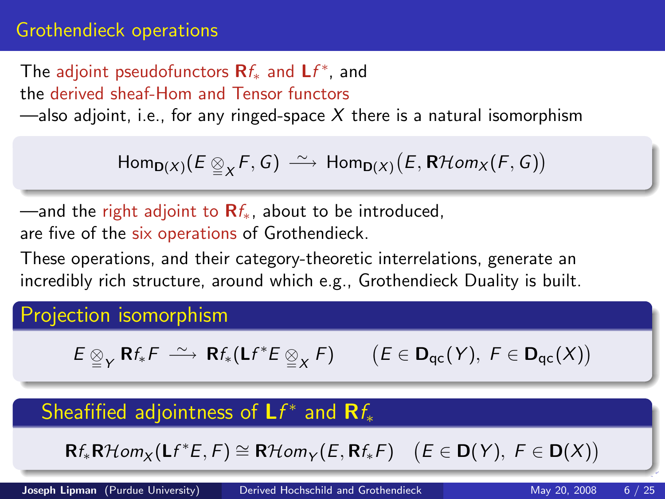### Grothendieck operations

The adjoint pseudofunctors  $\mathbf{R}f_{*}$  and  $\mathbf{L}f^{*}$ , and the derived sheaf-Hom and Tensor functors

—also adjoint, i.e., for any ringed-space  $X$  there is a natural isomorphism

 $\mathsf{Hom}_{\mathsf{D}(X)}(E \underset{\cong}{\otimes}_X F, G) \longrightarrow \mathsf{Hom}_{\mathsf{D}(X)}\big(E, \mathsf{R}\mathcal{H}\mathit{om}_X(F, G)\big)$ 

—and the right adjoint to  $\mathbf{R}f_{*}$ , about to be introduced, are five of the six operations of Grothendieck.

These operations, and their category-theoretic interrelations, generate an incredibly rich structure, around which e.g., Grothendieck Duality is built.

Projection isomorphism

$$
E \underset{\cong}{\otimes}_Y \mathbf{R} f_* F \ \xrightarrow{\sim} \ \mathbf{R} f_* (\mathsf{L} f^* E \underset{\cong}{\otimes}_X F) \qquad \big( E \in \mathbf{D}_{\mathsf{qc}}(Y), \ F \in \mathbf{D}_{\mathsf{qc}}(X) \big)
$$

# Sheafified adjointness of  $\mathsf{L}f^*$  and  $\mathsf{R}f_*$

<span id="page-5-0"></span> $\mathsf{R}f_*\mathsf{R}\mathcal{H}\mathit{om}_X(\mathsf{L}f^*\mathsf{E},\mathsf{F})\cong \mathsf{R}\mathcal{H}\mathit{om}_Y(\mathsf{E},\mathsf{R}f_*\mathsf{F})\quad (\mathsf{E}\in\mathsf{D}(Y),\ \mathsf{F}\in\mathsf{D}(X))$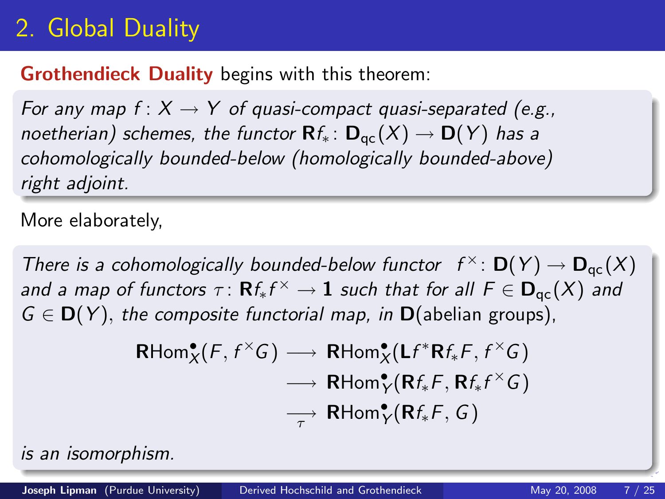# 2. Global Duality

### Grothendieck Duality begins with this theorem:

For any map  $f: X \to Y$  of quasi-compact quasi-separated (e.g., noetherian) schemes, the functor  $\mathbf{R}f_* : \mathbf{D}_{\text{qc}}(X) \to \mathbf{D}(Y)$  has a cohomologically bounded-below (homologically bounded-above) right adjoint.

More elaborately,

There is a cohomologically bounded-below functor  $f^{\times}$ :  $\mathbf{D}(Y) \to \mathbf{D}_{\text{qc}}(X)$ and a map of functors  $\tau\colon \mathbf{R}f_{*}f^{\times}\to \mathbf{1}$  such that for all  $F\in \mathbf{D}_{\mathrm{qc}}(X)$  and  $G \in D(Y)$ , the composite functorial map, in D(abelian groups),

<span id="page-6-0"></span>
$$
\mathsf{RHom}^{\bullet}_{X}(F, f^{\times}G) \longrightarrow \mathsf{RHom}^{\bullet}_{X}(\mathsf{L}f^{*}\mathsf{R}f_{*}F, f^{\times}G)
$$
\n
$$
\longrightarrow \mathsf{RHom}^{\bullet}_{Y}(\mathsf{R}f_{*}F, \mathsf{R}f_{*}f^{\times}G)
$$
\n
$$
\longrightarrow \mathsf{RHom}^{\bullet}_{Y}(\mathsf{R}f_{*}F, G)
$$

is an isomorphism.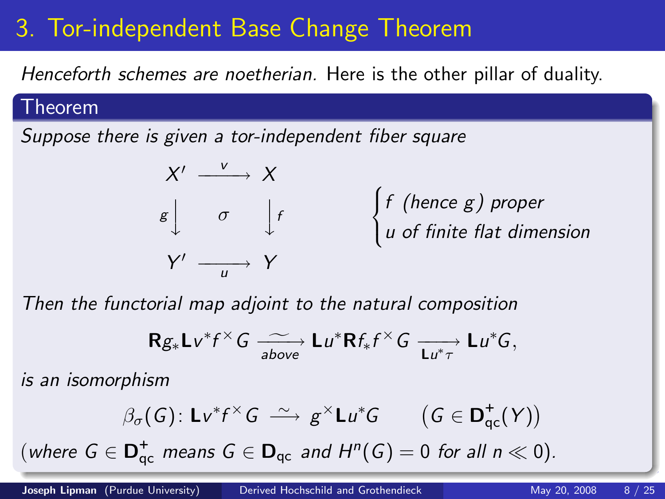# 3. Tor-independent Base Change Theorem

Henceforth schemes are noetherian. Here is the other pillar of duality.

#### Theorem

Suppose there is given a tor-independent fiber square



Then the functorial map adjoint to the natural composition

<span id="page-7-0"></span>
$$
\mathbf{R} g_* \mathbf{L} v^* f^\times G \xrightarrow[\text{above}]{\sim} \mathbf{L} u^* \mathbf{R} f_* f^\times G \xrightarrow[\text{L} u^* \tau]{} \mathbf{L} u^* G,
$$

is an isomorphism

$$
\beta_{\sigma}(G) : \mathbf{L}v^* f^\times G \longrightarrow g^\times \mathbf{L}u^* G \qquad (G \in \mathbf{D}^+_{\mathrm{qc}}(Y))
$$

(where  $G \in \mathbf{D}_{\text{qc}}^+$  means  $G \in \mathbf{D}_{\text{qc}}$  and  $H^n(G) = 0$  for all  $n \ll 0$ ).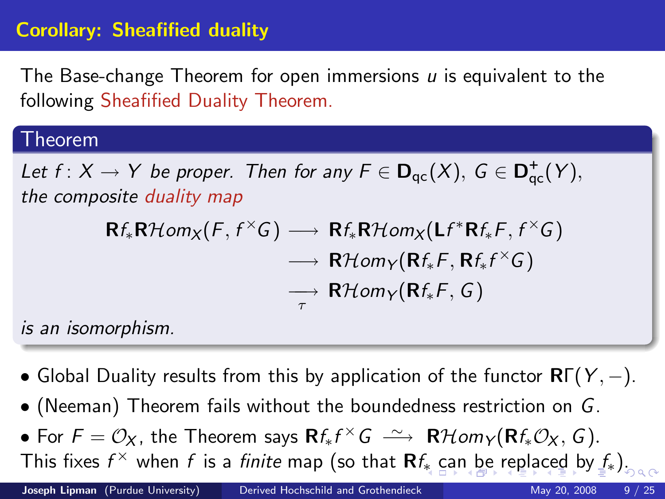## Corollary: Sheafified duality

The Base-change Theorem for open immersions  *is equivalent to the* following Sheafified Duality Theorem.

#### Theorem

Let  $f: X \to Y$  be proper. Then for any  $F \in D_{qc}(X)$ ,  $G \in D_{qc}^+(Y)$ , the composite duality map

<span id="page-8-0"></span>
$$
\mathsf{R}f_*\mathsf{R}\mathcal{H}\text{om}_X(F, f^{\times}G) \longrightarrow \mathsf{R}f_*\mathsf{R}\mathcal{H}\text{om}_X(\mathsf{L}f^*\mathsf{R}f_*F, f^{\times}G) \\ \longrightarrow \mathsf{R}\mathcal{H}\text{om}_Y(\mathsf{R}f_*F, \mathsf{R}f_*f^{\times}G) \\ \longrightarrow \mathsf{R}\mathcal{H}\text{om}_Y(\mathsf{R}f_*F, G)
$$

is an isomorphism.

- Global Duality results from this by application of the functor  $\mathbf{R}\Gamma(Y,-)$ .
- (Neeman) Theorem fails without the boundedness restriction on G.
- For  $F = \mathcal{O}_X$ , the Theorem says  $\mathbf{R} f_* f^{\times} G \longrightarrow \mathbf{R} \mathcal{H}$ om $\gamma(\mathbf{R} f_* \mathcal{O}_X, G)$ . This fix[e](#page-7-0)s  $f^\times$  when  $f$  is [a](#page-9-0) *finite* ma[p](#page-7-0) (so that  $\mathsf{R}f_*$  c[an](#page-9-0) [be](#page-8-0) [re](#page-6-0)p[l](#page-8-0)a[c](#page-6-0)e[d](#page-8-0) [b](#page-9-0)[y](#page-0-0)  $f_*$ ).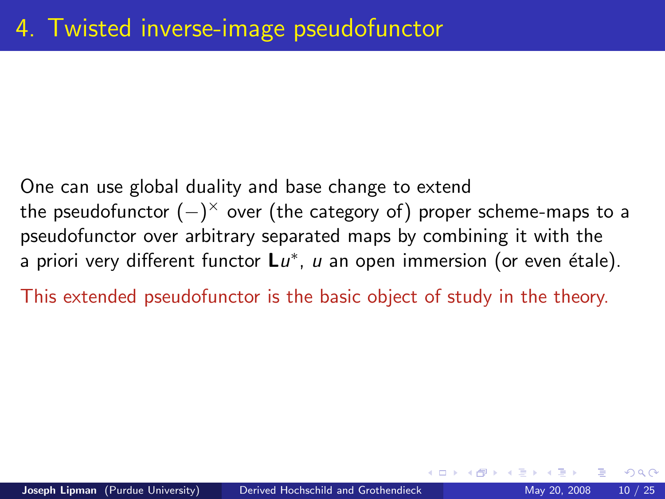One can use global duality and base change to extend the pseudofunctor  $(-)^{\times}$  over (the category of) proper scheme-maps to a pseudofunctor over arbitrary separated maps by combining it with the a priori very different functor  $\mathsf{L} u^*$ ,  $u$  an open immersion (or even étale).

This extended pseudofunctor is the basic object of study in the theory.

<span id="page-9-0"></span> $\Omega$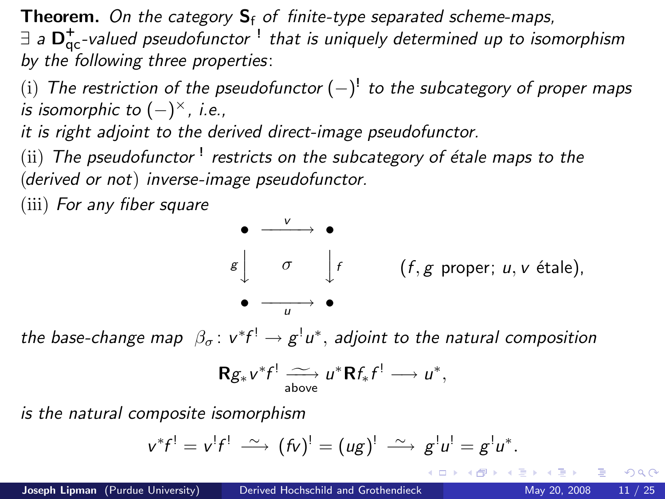**Theorem.** On the category  $S_f$  of finite-type separated scheme-maps,  $\exists$  a  $D_{\text{qc}}^+$ -valued pseudofunctor  $\frac{1}{2}$  that is uniquely determined up to isomorphism by the following three properties:

 $(i)$  The restriction of the pseudofunctor  $(-)^{!}$  to the subcategory of proper maps is isomorphic to  $(-)^{\times}$ , i.e.,

it is right adjoint to the derived direct-image pseudofunctor.

 $\displaystyle \mathrm{(ii)}$  The pseudofunctor  $\mathrm{!}$  restricts on the subcategory of étale maps to the (derived or not) inverse-image pseudofunctor.

(iii) For any fiber square



the base-change map  $\,\beta_{\sigma}\colon v^*f^! \to g^!u^*,$  adjoint to the natural composition

$$
\mathbf{R} g_* v^* f \xrightarrow[\text{above}]{\sim} u^* \mathbf{R} f_* f^! \longrightarrow u^*,
$$

is the natural composite isomorphism

$$
v^*f^! = v^!f^! \stackrel{\sim}{\longrightarrow} (fv)^! = (ug)^! \stackrel{\sim}{\longrightarrow} g^!u^! = g^!u^*.
$$

<span id="page-10-0"></span>KID K K @ D K 2E X X E X 10 D K O Q Q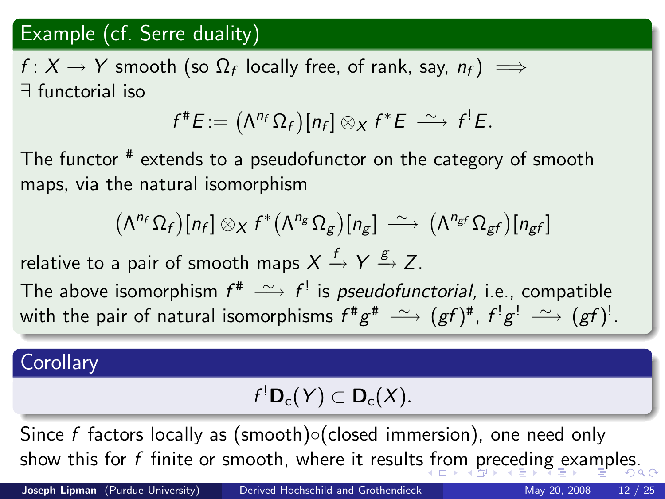## Example (cf. Serre duality)

 $f\colon X\to Y$  smooth (so  $\Omega_f$  locally free, of rank, say,  $n_f)\implies$ ∃ functorial iso

$$
f^{\#}E:=\left(\Lambda^{n_f}\Omega_f\right)[n_f]\otimes_X f^*E\ \stackrel{\sim}{\longrightarrow}\ f^!E.
$$

The functor <sup>#</sup> extends to a pseudofunctor on the category of smooth maps, via the natural isomorphism

$$
(\Lambda^{n_f} \Omega_f)[n_f] \otimes_X f^* (\Lambda^{n_g} \Omega_g)[n_g] \longrightarrow (\Lambda^{n_{gf}} \Omega_{gf})[n_{gf}]
$$

relative to a pair of smooth maps  $X\stackrel{f}{\to} Y \stackrel{g}{\to} Z.$ 

The above isomorphism  $f^* \stackrel{\sim}{\longrightarrow} f^!$  is *pseudofunctorial,* i.e., compatible with the pair of natural isomorphisms  $f^{\#}g^{\#} \stackrel{\sim}{\longrightarrow} (gf)^{\#},$   $f^!g^! \stackrel{\sim}{\longrightarrow} (gf)^!.$ 

### **Corollary**

<span id="page-11-0"></span>
$$
f^!\mathbf{D}_c(Y)\subset \mathbf{D}_c(X).
$$

Since f factors locally as (smooth)◦(closed immersion), one need only show this for f finite or smooth, where it results [fr](#page-10-0)[om](#page-12-0) [pr](#page-11-0)[e](#page-9-0)[c](#page-8-0)e[di](#page-16-0)[n](#page-17-0)[g](#page-8-0) [e](#page-16-0)[x](#page-17-0)[am](#page-0-0)[ple](#page-24-0)s.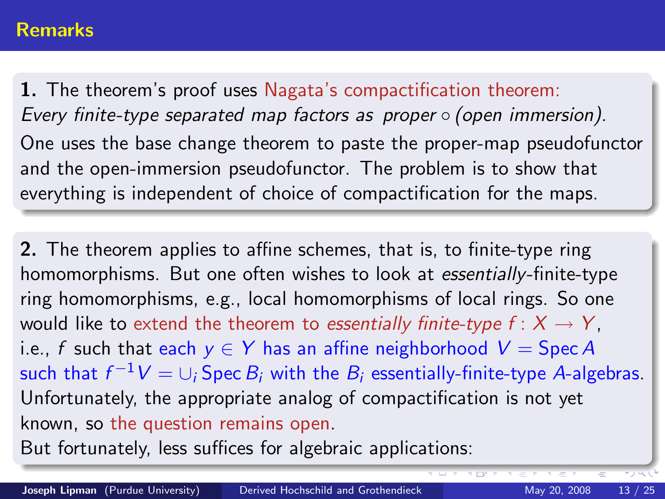#### Remarks

1. The theorem's proof uses Nagata's compactification theorem: Every finite-type separated map factors as proper ◦ (open immersion). One uses the base change theorem to paste the proper-map pseudofunctor and the open-immersion pseudofunctor. The problem is to show that everything is independent of choice of compactification for the maps.

2. The theorem applies to affine schemes, that is, to finite-type ring homomorphisms. But one often wishes to look at essentially-finite-type ring homomorphisms, e.g., local homomorphisms of local rings. So one would like to extend the theorem to essentially finite-type  $f: X \rightarrow Y$ . i.e., f such that each  $y \in Y$  has an affine neighborhood  $V = \text{Spec } A$ such that  $f^{-1}V=\cup_i$  Spec  $B_i$  with the  $B_i$  essentially-finite-type A-algebras. Unfortunately, the appropriate analog of compactification is not yet known, so the question remains open.

<span id="page-12-0"></span>But fortunately, less suffices for algebraic applications: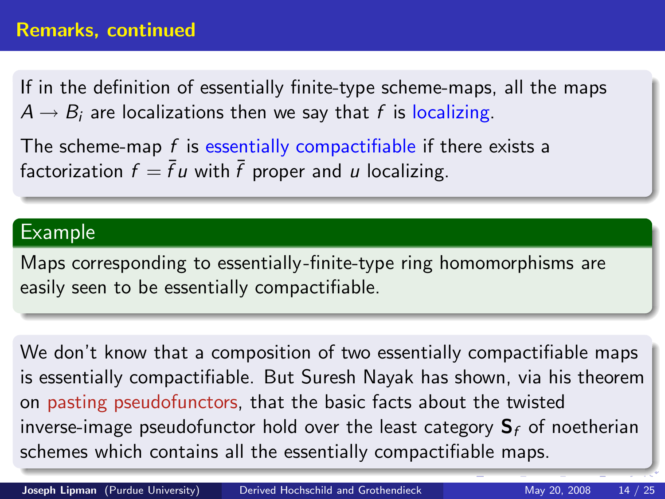If in the definition of essentially finite-type scheme-maps, all the maps  $A \rightarrow B_i$  are localizations then we say that f is localizing.

The scheme-map  $f$  is essentially compactifiable if there exists a factorization  $f = \bar{f} u$  with  $\bar{f}$  proper and u localizing.

#### Example

Maps corresponding to essentially -finite-type ring homomorphisms are easily seen to be essentially compactifiable.

We don't know that a composition of two essentially compactifiable maps is essentially compactifiable. But Suresh Nayak has shown, via his theorem on pasting pseudofunctors, that the basic facts about the twisted inverse-image pseudofunctor hold over the least category  $S_f$  of noetherian schemes which contains all the essentially compactifiable maps.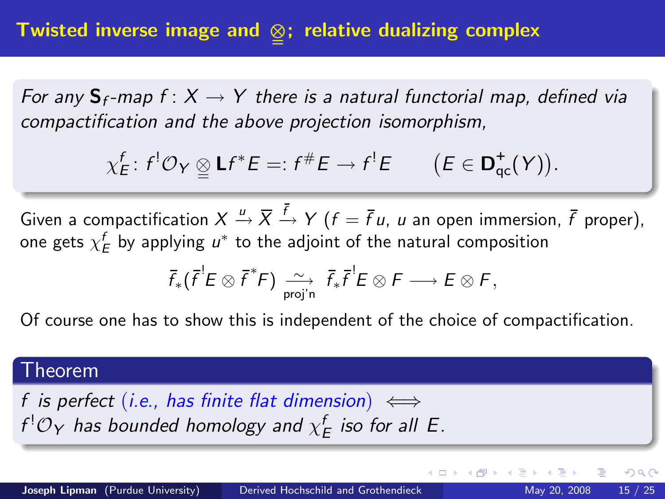For any  $S_f$ -map  $f: X \to Y$  there is a natural functorial map, defined via compactification and the above projection isomorphism,

$$
\chi_E^f\colon f^!\mathcal{O}_Y\underset{\simeq}{\otimes}\mathsf{L}f^*E=:f^\#E\to f^!E\qquad\big(E\in\mathsf{D}^+_{\mathsf{qc}}(Y)\big).
$$

Given a compactification  $X\stackrel{u}{\to}\overline{X}\stackrel{f}{\to}Y$   $(f=\bar{f}\,u,\,u$  an open immersion,  $\bar{f}$  proper), one gets  $\chi^f_E$  by applying  $u^*$  to the adjoint of the natural composition

<span id="page-14-0"></span>
$$
\overline{f}_* (\overline{f}^! E \otimes \overline{f}^* F) \xrightarrow[\text{proj'}]{\sim} \overline{f}_* \overline{f}^! E \otimes F \longrightarrow E \otimes F,
$$

Of course one has to show this is independent of the choice of compactification.

#### Theorem

f is perfect (i.e., has finite flat dimension)  $\iff$  $f^{!}\mathcal{O}_{\mathsf{Y}}$  has bounded homology and  $\chi^f_E$  iso for all  $E.$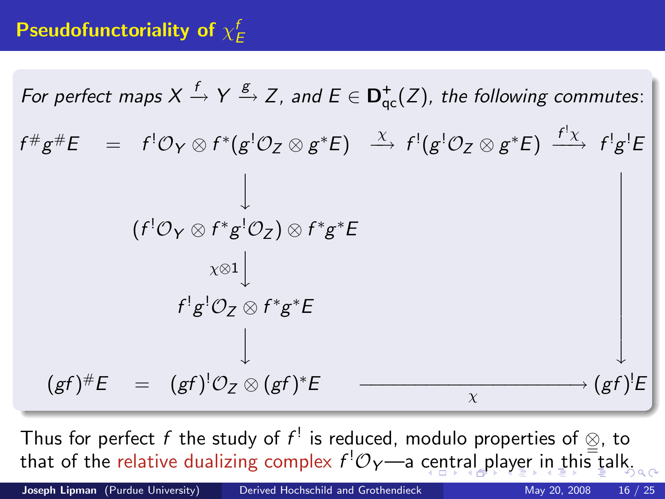# Pseudofunctoriality of  $\chi^f_E$

For perfect maps 
$$
X \xrightarrow{f} Y \xrightarrow{g} Z
$$
, and  $E \in \mathbf{D}_{qc}^+(Z)$ , the following commutes:  
\n $f^{\#}g^{\#}E = f^{\{0\}}\varphi \otimes f^{\ast}(g^{\{0\}}\varphi \otimes g^{\ast}E) \xrightarrow{\chi} f^{\{0\}}(g^{\{0\}}\varphi \otimes g^{\ast}E) \xrightarrow{f^{\{1\}}\chi} f^{\{1\}}g^{\{E\}}$   
\n
$$
\downarrow
$$
\n
$$
(f^{\{0\}}\varphi \otimes f^{\ast}g^{\{0\}}\varphi) \otimes f^{\ast}g^{\ast}E
$$
\n
$$
\downarrow
$$
\n
$$
f^{\{1\}}g^{\{0\}}\varphi \otimes f^{\ast}g^{\ast}E
$$
\n
$$
\downarrow
$$
\n
$$
(gf)^{\#}E = (gf)^{\{0\}}\varphi \otimes (gf)^{\ast}E \xrightarrow{\chi} (gf)^{\{E\}}
$$

Thus for perfect f the study of  $f^!$  is reduced, modulo properties of  $\otimes$ , to th[a](#page-14-0)t of the re[l](#page-16-0)ativ[e](#page-9-0)dual[i](#page-17-0)zi[n](#page-8-0)g complex  $f^{!}\mathcal{O}_{Y}$ —a [ce](#page-14-0)n[tr](#page-16-0)a[l p](#page-15-0)l[ay](#page-8-0)e[r](#page-16-0) in [t](#page-16-0)[hi](#page-17-0)[s](#page-0-0) [talk](#page-24-0).

Joseph Lipman (Purdue University) [Derived Hochschild and Grothendieck](#page-0-0) May 20, 2008 16 / 25

<span id="page-15-0"></span>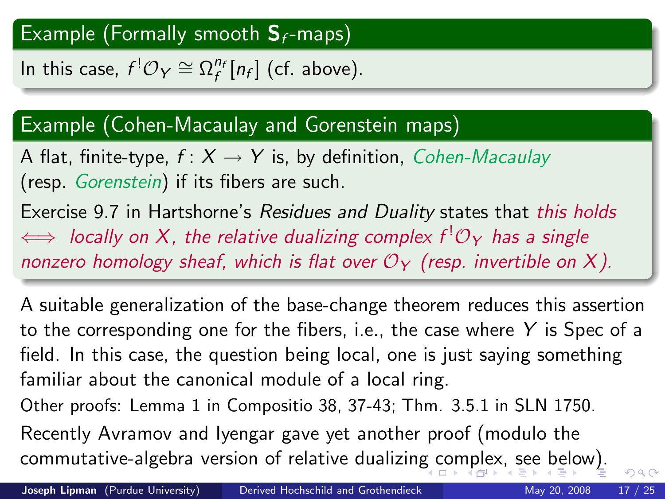# Example (Formally smooth  $S_f$ -maps)

In this case,  $f^! \mathcal{O}_Y \cong \Omega_f^{n_f}[n_f]$  (cf. above).

## Example (Cohen-Macaulay and Gorenstein maps)

A flat, finite-type,  $f: X \rightarrow Y$  is, by definition, *Cohen-Macaulay* (resp. Gorenstein) if its fibers are such.

Exercise 9.7 in Hartshorne's Residues and Duality states that this holds  $\iff$  locally on X, the relative dualizing complex  $f^!O_Y$  has a single nonzero homology sheaf, which is flat over  $\mathcal{O}_Y$  (resp. invertible on X).

<span id="page-16-0"></span>A suitable generalization of the base-change theorem reduces this assertion to the corresponding one for the fibers, i.e., the case where  $Y$  is Spec of a field. In this case, the question being local, one is just saying something familiar about the canonical module of a local ring. Other proofs: Lemma 1 in Compositio 38, 37-43; Thm. 3.5.1 in SLN 1750. Recently Avramov and Iyengar gave yet another proof (modulo the commutative-algebra version of relative dualizin[g c](#page-15-0)[om](#page-17-0)[ple](#page-16-0)[x](#page-17-0)[,](#page-8-0) [s](#page-9-0)[e](#page-16-0)[e](#page-17-0) [b](#page-8-0)[el](#page-16-0)[o](#page-17-0)[w\)](#page-0-0)[.](#page-24-0)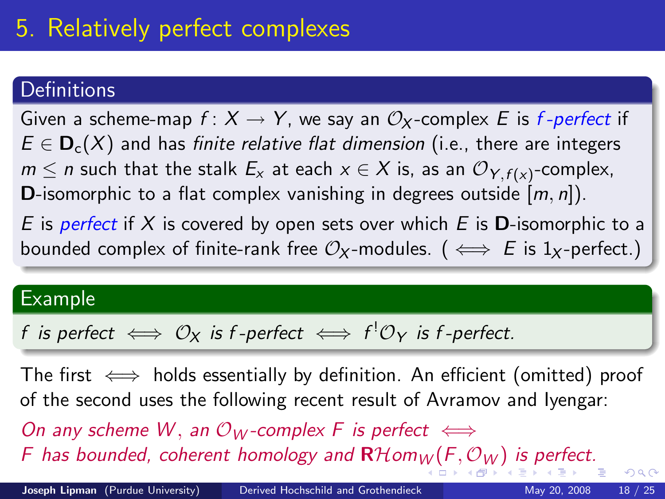# 5. Relatively perfect complexes

### **Definitions**

Given a scheme-map  $f: X \to Y$ , we say an  $\mathcal{O}_X$ -complex E is f-perfect if  $E \in \mathbf{D}_c(X)$  and has finite relative flat dimension (i.e., there are integers  $m\leq n$  such that the stalk  $E_\mathsf{x}$  at each  $\mathsf{x}\in\mathsf{X}$  is, as an  $\mathcal{O}_{\mathsf{Y},f(\mathsf{x})}$ -complex, **D**-isomorphic to a flat complex vanishing in degrees outside  $[m, n]$ ). E is perfect if X is covered by open sets over which E is **D**-isomorphic to a bounded complex of finite-rank free  $\mathcal{O}_X$ -modules. ( $\iff$  E is 1<sub>X</sub>-perfect.)

#### Example

 $f$  is perfect  $\iff \mathcal{O}_{\mathsf{X}}$  is  $f$ -perfect  $\iff f^! \mathcal{O}_{\mathsf{Y}}$  is  $f$ -perfect.

<span id="page-17-0"></span>The first  $\iff$  holds essentially by definition. An efficient (omitted) proof of the second uses the following recent result of Avramov and Iyengar: On any scheme W, an  $\mathcal{O}_W$ -complex F is perfect  $\iff$ [F](#page-18-0) ha[s](#page-18-0) bound[e](#page-16-0)d, cohe[r](#page-17-0)ent homology and  $\mathbf{R}$ Hom<sub>[W](#page-17-0)</sub> (F,  $\mathcal{O}_W$  $\mathcal{O}_W$  $\mathcal{O}_W$ [\)](#page-16-0) [i](#page-17-0)s [p](#page-19-0)er[fe](#page-18-0)[c](#page-19-0)[t.](#page-0-0)  $QQ$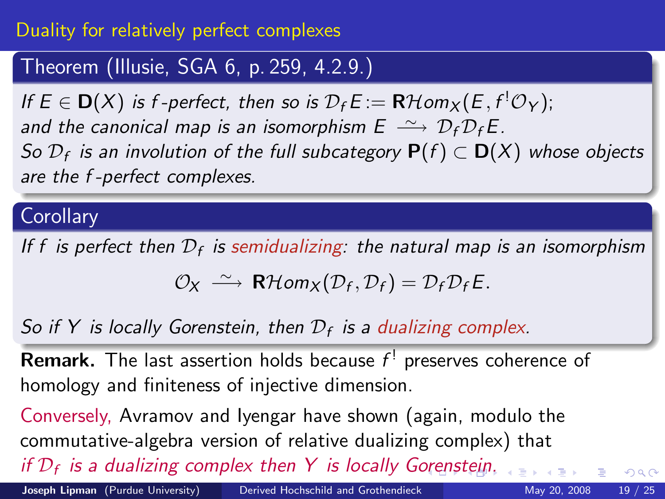### Duality for relatively perfect complexes

### Theorem (Illusie, SGA 6, p. 259, 4.2.9.)

If  $E \in D(X)$  is f-perfect, then so is  $\mathcal{D}_f E := \mathbf{R} \mathcal{H}$ om $\chi(E, f^! \mathcal{O}_Y)$ ; and the canonical map is an isomorphism  $E \longrightarrow D_f D_f E$ . So  $\mathcal{D}_f$  is an involution of the full subcategory  $\mathsf{P}(f) \subset \mathsf{D}(X)$  whose objects are the f -perfect complexes.

### **Corollary**

If f is perfect then  $\mathcal{D}_f$  is semidualizing: the natural map is an isomorphism

$$
\mathcal{O}_X \stackrel{\sim}{\longrightarrow} \mathbf{R}\mathcal{H}om_X(\mathcal{D}_f,\mathcal{D}_f)=\mathcal{D}_f\mathcal{D}_fE.
$$

# So if Y is locally Gorenstein, then  $\mathcal{D}_f$  is a dualizing complex.

**Remark.** The last assertion holds because  $f<sup>!</sup>$  preserves coherence of homology and finiteness of injective dimension.

Conversely, Avramov and Iyengar have shown (again, modulo the commutative-algebra version of relative dualizing complex) that if  $\mathcal{D}_f$  is a dualizing complex then Y is locally G[ore](#page-17-0)[ns](#page-19-0)[te](#page-17-0)[in](#page-18-0)[.](#page-19-0)

<span id="page-18-0"></span> $299$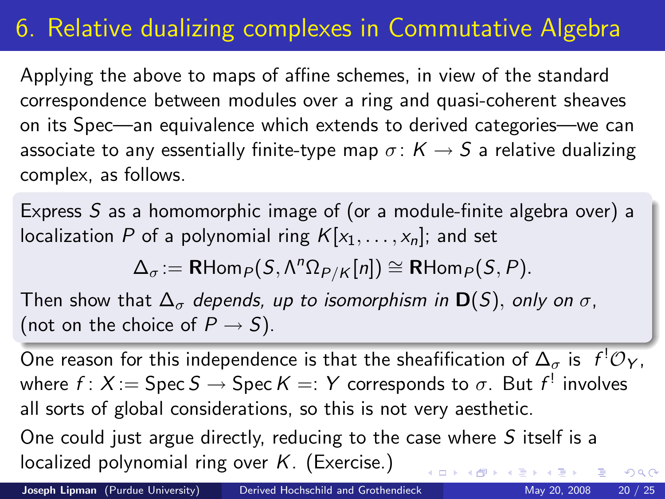# 6. Relative dualizing complexes in Commutative Algebra

Applying the above to maps of affine schemes, in view of the standard correspondence between modules over a ring and quasi-coherent sheaves on its Spec—an equivalence which extends to derived categories—we can associate to any essentially finite-type map  $\sigma: K \to S$  a relative dualizing complex, as follows.

Express S as a homomorphic image of (or a module-finite algebra over) a localization P of a polynomial ring  $K[x_1, \ldots, x_n]$ ; and set

<span id="page-19-0"></span>
$$
\Delta_{\sigma} := \mathsf{RHom}_{P}(S, \Lambda^{n} \Omega_{P/K}[n]) \cong \mathsf{RHom}_{P}(S, P).
$$

Then show that  $\Delta_{\sigma}$  depends, up to isomorphism in  $\mathbf{D}(S)$ , only on  $\sigma$ , (not on the choice of  $P \rightarrow S$ ).

One reason for this independence is that the sheafification of  $\Delta_\sigma$  is  $\ f^!\mathcal{O}_Y,$ where  $f\colon X\!:=\operatorname{\mathsf{Spec}}\nolimits S\to\operatorname{\mathsf{Spec}}\nolimits K=:\mathsf Y$  corresponds to  $\sigma.$  But  $f^!$  involves all sorts of global considerations, so this is not very aesthetic.

One could just argue directly, reducing to the case where S itself is a localized polynomial ring over  $K$ . (Exercise.)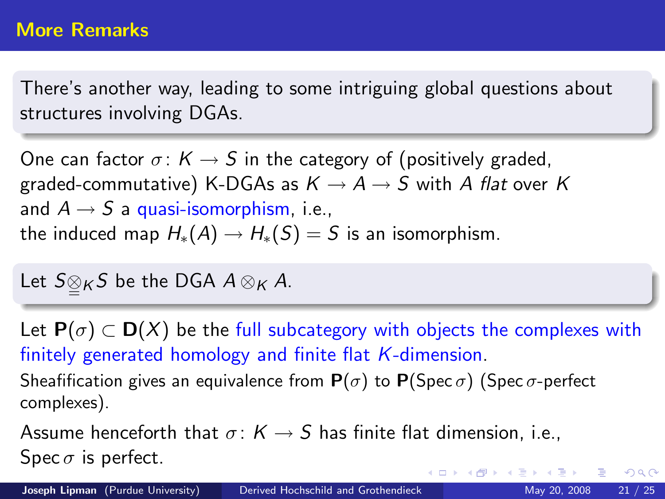There's another way, leading to some intriguing global questions about structures involving DGAs.

One can factor  $\sigma: K \to S$  in the category of (positively graded, graded-commutative) K-DGAs as  $K \rightarrow A \rightarrow S$  with A flat over K and  $A \rightarrow S$  a quasi-isomorphism, i.e., the induced map  $H_*(A) \to H_*(S) = S$  is an isomorphism.

Let  $S \underline{\otimes}_K S$  be the DGA  $A \otimes_K A$ .

Let  $P(\sigma) \subset D(X)$  be the full subcategory with objects the complexes with finitely generated homology and finite flat K-dimension. Sheafification gives an equivalence from  $P(\sigma)$  to  $P(Spec \sigma)$  (Spec  $\sigma$ -perfect complexes).

Assume henceforth that  $\sigma: K \to S$  has finite flat dimension, i.e., Spec  $\sigma$  is perfect. イロト イ母 ト イヨ ト イヨ トー

 $\Omega$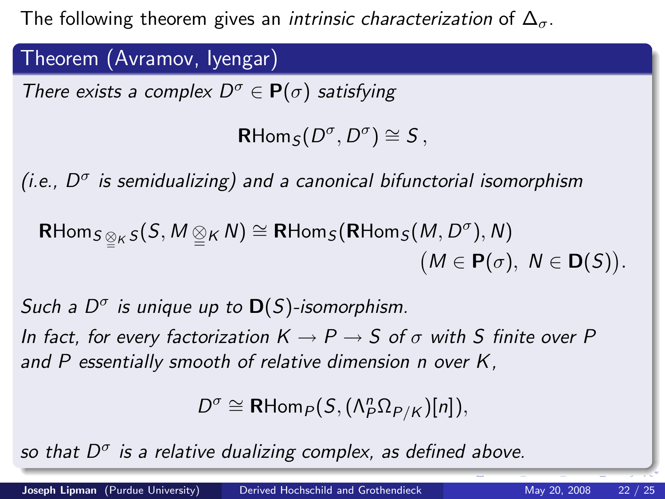The following theorem gives an *intrinsic characterization* of  $\Delta_{\sigma}$ .

Theorem (Avramov, Iyengar)

There exists a complex  $D^{\sigma} \in \mathbf{P}(\sigma)$  satisfying

 $\mathsf{R}\mathsf{Hom}_{\mathcal{S}}(D^{\sigma},D^{\sigma})\cong\mathcal{S}$  ,

(i.e.,  $D^{\sigma}$  is semidualizing) and a canonical bifunctorial isomorphism

$$
\mathsf{RHom}_{S \underset{\simeq}{\otimes} K} S(S, M \underset{\simeq}{\otimes} K N) \cong \mathsf{RHom}_S(\mathsf{RHom}_S(M, D^{\sigma}), N) \qquad (M \in \mathsf{P}(\sigma), N \in \mathsf{D}(S)).
$$

Such a  $D^{\sigma}$  is unique up to  $\mathbf{D}(S)$ -isomorphism.

In fact, for every factorization  $K \to P \to S$  of  $\sigma$  with S finite over P and P essentially smooth of relative dimension n over K.

<span id="page-21-0"></span> $D^{\sigma} \cong \mathsf{R}\mathsf{Hom}_{P}(S,(\Lambda_{P}^{n}\Omega_{P/K})[n]),$ 

so that  $D^{\sigma}$  is a relative dualizing complex, as defined above.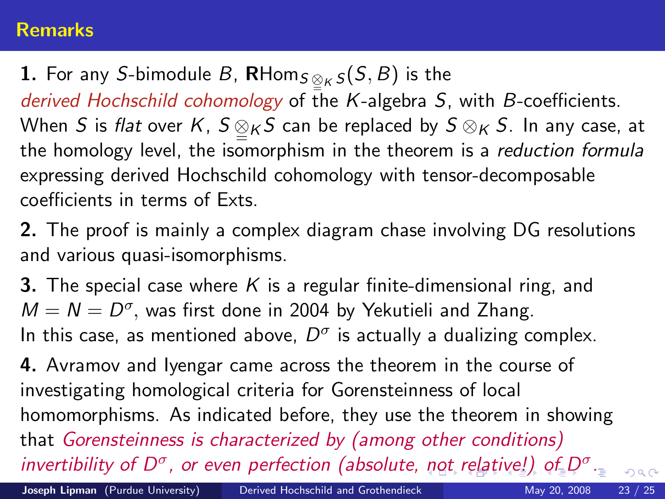#### **Remarks**

**1.** For any S-bimodule B,  $\mathsf{R}\text{-}\mathsf{Hom}_{S\underset{\simeq}{\otimes}_K S}(S,B)$  is the derived Hochschild cohomology of the K-algebra S, with B-coefficients. When  $S$  is *flat* over  $K$ ,  $S \underset{=}{{}^\infty}$   $_K S$  can be replaced by  $S \otimes_K S$ . In any case, at the homology level, the isomorphism in the theorem is a reduction formula expressing derived Hochschild cohomology with tensor-decomposable coefficients in terms of Exts.

2. The proof is mainly a complex diagram chase involving DG resolutions and various quasi-isomorphisms.

**3.** The special case where K is a regular finite-dimensional ring, and  $M = N = D^{\sigma}$ , was first done in 2004 by Yekutieli and Zhang. In this case, as mentioned above,  $D^{\sigma}$  is actually a dualizing complex.

<span id="page-22-0"></span>4. Avramov and Iyengar came across the theorem in the course of investigating homological criteria for Gorensteinness of local homomorphisms. As indicated before, they use the theorem in showing that Gorensteinness is characterized by (among other conditions) inver[t](#page-23-0)ibility [o](#page-18-0)[f](#page-19-0) $D^{\sigma}$  $D^{\sigma}$ , or even perfection (absolute, [no](#page-21-0)t [re](#page-21-0)[la](#page-22-0)[ti](#page-23-0)[v](#page-18-0)[e](#page-19-0)[!\)](#page-22-0) of  $D^{\sigma}$ [.](#page-0-0)  $\Omega$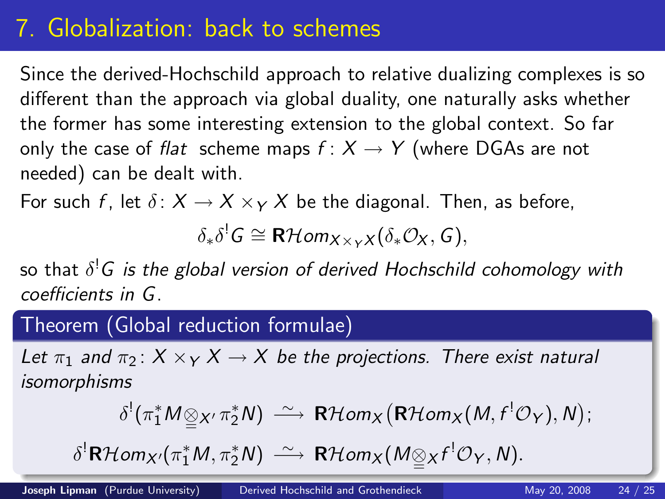# 7. Globalization: back to schemes

Since the derived-Hochschild approach to relative dualizing complexes is so different than the approach via global duality, one naturally asks whether the former has some interesting extension to the global context. So far only the case of flat scheme maps  $f: X \rightarrow Y$  (where DGAs are not needed) can be dealt with.

For such f, let  $\delta: X \to X \times_Y X$  be the diagonal. Then, as before,

 $\delta_*\delta^!G\cong{\sf R}\mathcal{H}$ om $_{X\times_Y X}(\delta_*\mathcal{O}_X,G),$ 

so that  $\delta^! G$  is the global version of derived Hochschild cohomology with coefficients in G.

#### Theorem (Global reduction formulae)

Let  $\pi_1$  and  $\pi_2$ :  $X \times_Y X \to X$  be the projections. There exist natural isomorphisms

<span id="page-23-0"></span>
$$
\delta^!(\pi_1^*M \underline{\otimes}_{X'} \pi_2^*N) \xrightarrow{\sim} R\mathcal{H}om_X\big(R\mathcal{H}om_X(M,f^!\mathcal{O}_Y),N\big);
$$

 $\delta^!{\sf R}\mathcal{H}$ om $_{X'}$  $_{X'}$  $_{X'}$ ( $\pi_1^*M,\pi_2^*N$  $\pi_1^*M,\pi_2^*N$ [\)](#page-23-0)  $\;\stackrel{\sim}{\longrightarrow}\;{\sf R}\mathcal{H}$ om $_{X}(M\underline{\otimes}_X f^!\mathcal{O}_Y,N).$  $_{X}(M\underline{\otimes}_X f^!\mathcal{O}_Y,N).$  $_{X}(M\underline{\otimes}_X f^!\mathcal{O}_Y,N).$  $_{X}(M\underline{\otimes}_X f^!\mathcal{O}_Y,N).$  $_{X}(M\underline{\otimes}_X f^!\mathcal{O}_Y,N).$  $_{X}(M\underline{\otimes}_X f^!\mathcal{O}_Y,N).$